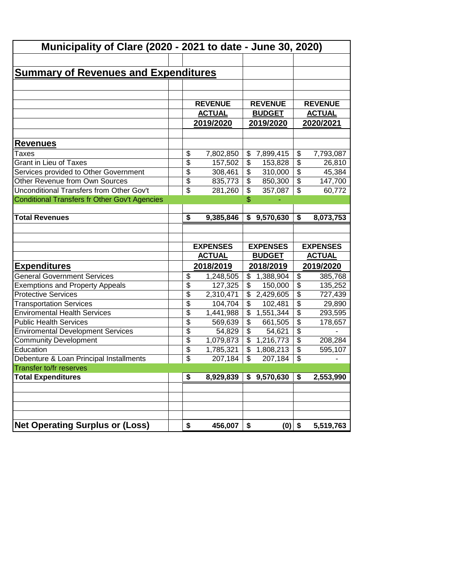| Municipality of Clare (2020 - 2021 to date - June 30, 2020) |                 |                 |                          |                 |                                      |                 |
|-------------------------------------------------------------|-----------------|-----------------|--------------------------|-----------------|--------------------------------------|-----------------|
|                                                             |                 |                 |                          |                 |                                      |                 |
| <b>Summary of Revenues and Expenditures</b>                 |                 |                 |                          |                 |                                      |                 |
|                                                             |                 |                 |                          |                 |                                      |                 |
|                                                             |                 |                 |                          |                 |                                      |                 |
|                                                             |                 | <b>REVENUE</b>  |                          | <b>REVENUE</b>  |                                      | <b>REVENUE</b>  |
|                                                             |                 | <b>ACTUAL</b>   |                          | <b>BUDGET</b>   |                                      | <b>ACTUAL</b>   |
|                                                             |                 | 2019/2020       | 2019/2020                |                 |                                      | 2020/2021       |
|                                                             |                 |                 |                          |                 |                                      |                 |
| <u>Revenues</u>                                             |                 |                 |                          |                 |                                      |                 |
| Taxes                                                       | \$              | 7,802,850       |                          | \$7,899,415     | \$                                   | 7,793,087       |
| <b>Grant in Lieu of Taxes</b>                               | \$              | 157,502         | \$                       | 153,828         | $\overline{\$}$                      | 26,810          |
| Services provided to Other Government                       | \$              | 308,461         | \$                       | 310,000         | $\overline{\$}$                      | 45,384          |
| Other Revenue from Own Sources                              | \$              | 835,773         | \$                       | 850,300         | $\overline{\$}$                      | 147,700         |
| Unconditional Transfers from Other Gov't                    | \$              | 281,260         | \$                       | 357,087         | $\overline{\mathcal{S}}$             | 60,772          |
| <b>Conditional Transfers fr Other Gov't Agencies</b>        |                 |                 | \$                       |                 |                                      |                 |
|                                                             |                 |                 |                          |                 |                                      |                 |
| <b>Total Revenues</b>                                       | \$              | 9,385,846       |                          | \$9,570,630     | $\overline{\boldsymbol{\mathsf{s}}}$ | 8,073,753       |
|                                                             |                 |                 |                          |                 |                                      |                 |
|                                                             |                 |                 |                          |                 |                                      |                 |
|                                                             |                 |                 |                          |                 |                                      |                 |
|                                                             |                 | <b>EXPENSES</b> |                          | <b>EXPENSES</b> |                                      | <b>EXPENSES</b> |
|                                                             |                 | <b>ACTUAL</b>   |                          | <b>BUDGET</b>   |                                      | <b>ACTUAL</b>   |
| <b>Expenditures</b>                                         |                 | 2018/2019       |                          | 2018/2019       |                                      | 2019/2020       |
| <b>General Government Services</b>                          | \$              | 1,248,505       |                          | \$1,388,904     | \$                                   | 385,768         |
| <b>Exemptions and Property Appeals</b>                      | $\overline{\$}$ | 127,325         | \$                       | 150,000         | $\overline{\$}$                      | 135,252         |
| <b>Protective Services</b>                                  | \$              | 2,310,471       | \$                       | 2,429,605       | $\overline{\$}$                      | 727,439         |
| <b>Transportation Services</b>                              | \$              | 104,704         | \$                       | 102,481         | $\overline{\$}$                      | 29,890          |
| <b>Enviromental Health Services</b>                         | \$              | 1,441,988       | $\overline{\mathcal{L}}$ | 1,551,344       | $\overline{\$}$                      | 293,595         |
| <b>Public Health Services</b>                               | $\overline{\$}$ | 569,639         | \$                       | 661,505         | $\overline{\$}$                      | 178,657         |
| <b>Enviromental Development Services</b>                    | \$              | 54,829          | $\overline{\$}$          | 54,621          | $\overline{\$}$                      |                 |
| <b>Community Development</b>                                | \$              | 1,079,873       | $\overline{\mathcal{L}}$ | 1,216,773       | $\overline{\$}$                      | 208,284         |
| Education                                                   | \$              | 1,785,321       | $\overline{\mathcal{L}}$ | 1,808,213       | $\overline{\$}$                      | 595,107         |
| Debenture & Loan Principal Installments                     | \$              | 207,184         | $\overline{\mathcal{L}}$ | 207,184         | \$                                   |                 |
| <b>Transfer to/fr reserves</b>                              |                 |                 |                          |                 |                                      |                 |
| <b>Total Expenditures</b>                                   | \$              | 8,929,839       |                          | \$9,570,630     | \$                                   | 2,553,990       |
|                                                             |                 |                 |                          |                 |                                      |                 |
|                                                             |                 |                 |                          |                 |                                      |                 |
|                                                             |                 |                 |                          |                 |                                      |                 |
| <b>Net Operating Surplus or (Loss)</b>                      |                 |                 |                          |                 |                                      |                 |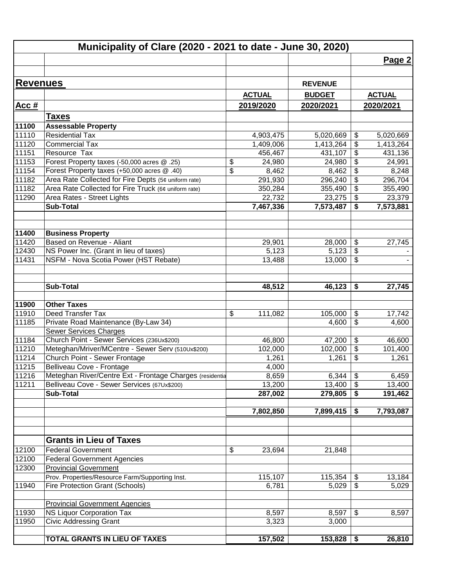|                 | Municipality of Clare (2020 - 2021 to date - June 30, 2020) |                        |                        |                                      |                        |
|-----------------|-------------------------------------------------------------|------------------------|------------------------|--------------------------------------|------------------------|
|                 |                                                             |                        |                        |                                      | Page 2                 |
|                 |                                                             |                        |                        |                                      |                        |
| <b>Revenues</b> |                                                             |                        | <b>REVENUE</b>         |                                      |                        |
|                 |                                                             | <b>ACTUAL</b>          | <b>BUDGET</b>          |                                      | <b>ACTUAL</b>          |
| <u>Acc #</u>    |                                                             | 2019/2020              | 2020/2021              |                                      | 2020/2021              |
|                 | <b>Taxes</b>                                                |                        |                        |                                      |                        |
| 11100           | <b>Assessable Property</b>                                  |                        |                        |                                      |                        |
| 11110           | <b>Residential Tax</b>                                      |                        |                        |                                      |                        |
| 11120           | <b>Commercial Tax</b>                                       | 4,903,475<br>1,409,006 | 5,020,669<br>1,413,264 | \$<br>$\boldsymbol{\theta}$          | 5,020,669<br>1,413,264 |
| 11151           | Resource Tax                                                | 456,467                | 431,107                | $\overline{\boldsymbol{\theta}}$     | 431,136                |
| 11153           | Forest Property taxes (-50,000 acres @ .25)                 | \$<br>24,980           | 24,980                 | $\frac{1}{2}$                        | 24,991                 |
| 11154           | Forest Property taxes (+50,000 acres @ .40)                 | \$<br>8,462            | 8,462                  | $\boldsymbol{\theta}$                | 8,248                  |
| 11182           | Area Rate Collected for Fire Depts (5¢ uniform rate)        | 291,930                | 296,240                | $\overline{\boldsymbol{\theta}}$     | 296,704                |
| 11182           | Area Rate Collected for Fire Truck (6¢ uniform rate)        | 350,284                | 355,490                | $\overline{\boldsymbol{\mathsf{s}}}$ | 355,490                |
| 11290           | Area Rates - Street Lights                                  | 22,732                 | 23,275                 | $\boldsymbol{\theta}$                | 23,379                 |
|                 | <b>Sub-Total</b>                                            | 7,467,336              | 7,573,487              | \$                                   | 7,573,881              |
|                 |                                                             |                        |                        |                                      |                        |
| 11400           | <b>Business Property</b>                                    |                        |                        |                                      |                        |
| 11420           | Based on Revenue - Aliant                                   | 29,901                 | 28,000                 | \$                                   | 27,745                 |
| 12430           | NS Power Inc. (Grant in lieu of taxes)                      | 5,123                  | 5,123                  | $\boldsymbol{\theta}$                |                        |
| 11431           | NSFM - Nova Scotia Power (HST Rebate)                       | 13,488                 | 13,000                 | \$                                   |                        |
|                 | <b>Sub-Total</b>                                            | 48,512                 | 46,123                 | \$                                   | 27,745                 |
|                 |                                                             |                        |                        |                                      |                        |
| 11900           | <b>Other Taxes</b>                                          |                        |                        |                                      |                        |
| 11910           | Deed Transfer Tax                                           | \$<br>111,082          | 105,000                | \$                                   | 17,742                 |
| 11185           | Private Road Maintenance (By-Law 34)                        |                        | 4,600                  | $\frac{1}{2}$                        | 4,600                  |
|                 | <b>Sewer Services Charges</b>                               |                        |                        |                                      |                        |
| 11184           | Church Point - Sewer Services (236Ux\$200)                  | 46,800                 | 47,200                 | \$                                   | 46,600                 |
| 11210           | Meteghan/Mriver/MCentre - Sewer Serv (510Ux\$200)           | 102,000                | 102,000                | $\overline{\boldsymbol{\theta}}$     | 101,400                |
| 11214           | Church Point - Sewer Frontage                               | 1,261                  | 1,261                  | \$                                   | 1,261                  |
| 11215           | Belliveau Cove - Frontage                                   | 4,000                  |                        |                                      |                        |
| 11216           | Meteghan River/Centre Ext - Frontage Charges (residentia    | 8,659                  | $6,344$ \$             |                                      | 6,459                  |
| 11211           | Belliveau Cove - Sewer Services (67Ux\$200)                 | 13,200                 | 13,400                 | $\boldsymbol{\mathsf{S}}$            | 13,400                 |
|                 | <b>Sub-Total</b>                                            | 287,002                | 279,805                | \$                                   | 191,462                |
|                 |                                                             | 7,802,850              | 7,899,415              | \$                                   | 7,793,087              |
|                 |                                                             |                        |                        |                                      |                        |
|                 | <b>Grants in Lieu of Taxes</b>                              |                        |                        |                                      |                        |
| 12100           | <b>Federal Government</b>                                   | \$<br>23,694           | 21,848                 |                                      |                        |
| 12100           | <b>Federal Government Agencies</b>                          |                        |                        |                                      |                        |
| 12300           | <b>Provincial Government</b>                                |                        |                        |                                      |                        |
|                 | Prov. Properties/Resource Farm/Supporting Inst.             | 115,107                | 115,354                | \$                                   | 13,184                 |
| 11940           | <b>Fire Protection Grant (Schools)</b>                      | 6,781                  | 5,029                  | \$                                   | 5,029                  |
|                 | <b>Provincial Government Agencies</b>                       |                        |                        |                                      |                        |
| 11930           | <b>NS Liquor Corporation Tax</b>                            | 8,597                  | 8,597                  | \$                                   | 8,597                  |
| 11950           | <b>Civic Addressing Grant</b>                               | 3,323                  | 3,000                  |                                      |                        |
|                 |                                                             |                        |                        |                                      |                        |
|                 | TOTAL GRANTS IN LIEU OF TAXES                               | 157,502                | 153,828                | \$                                   | 26,810                 |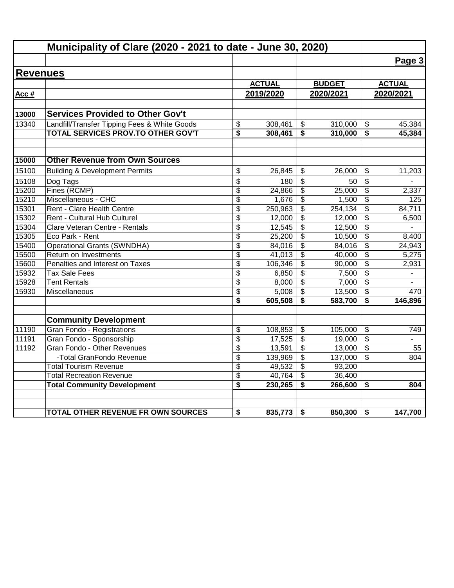|                 | Municipality of Clare (2020 - 2021 to date - June 30, 2020) |                 |               |                         |               |                                      |                          |
|-----------------|-------------------------------------------------------------|-----------------|---------------|-------------------------|---------------|--------------------------------------|--------------------------|
|                 |                                                             |                 |               |                         |               |                                      | Page 3                   |
| <b>Revenues</b> |                                                             |                 |               |                         |               |                                      |                          |
|                 |                                                             |                 | <b>ACTUAL</b> |                         | <b>BUDGET</b> |                                      | <b>ACTUAL</b>            |
| Acc #           |                                                             |                 | 2019/2020     |                         | 2020/2021     |                                      | 2020/2021                |
|                 |                                                             |                 |               |                         |               |                                      |                          |
| 13000           | <b>Services Provided to Other Gov't</b>                     |                 |               |                         |               |                                      |                          |
| 13340           | Landfill/Transfer Tipping Fees & White Goods                | \$              | 308,461       | \$                      | 310,000       | $\frac{1}{2}$                        | 45,384                   |
|                 | TOTAL SERVICES PROV.TO OTHER GOV'T                          | \$              | 308,461       | \$                      | 310,000       | \$                                   | 45,384                   |
| 15000           | <b>Other Revenue from Own Sources</b>                       |                 |               |                         |               |                                      |                          |
| 15100           | <b>Building &amp; Development Permits</b>                   | \$              | 26,845        | \$                      | 26.000        | \$                                   | 11,203                   |
| 15108           |                                                             | \$              | 180           | \$                      | 50            | \$                                   |                          |
| 15200           | Dog Tags<br>Fines (RCMP)                                    | \$              | 24,866        | \$                      | 25,000        | \$                                   | 2,337                    |
| 15210           | Miscellaneous - CHC                                         | $\overline{\$}$ | 1,676         | \$                      | 1,500         | $\overline{\mathbf{S}}$              | 125                      |
| 15301           | Rent - Clare Health Centre                                  | \$              | 250,963       | \$                      | 254, 134      | \$                                   | 84,711                   |
| 15302           | Rent - Cultural Hub Culturel                                | \$              | 12,000        | \$                      | 12,000        | \$                                   | 6,500                    |
| 15304           | Clare Veteran Centre - Rentals                              | \$              | 12,545        | $\overline{\mathbf{3}}$ | 12,500        | $\overline{\boldsymbol{\mathsf{s}}}$ |                          |
| 15305           | Eco Park - Rent                                             | \$              | 25,200        | \$                      | 10,500        | $\overline{\mathcal{S}}$             | 8,400                    |
| 15400           | <b>Operational Grants (SWNDHA)</b>                          | \$              | 84,016        | \$                      | 84,016        | \$                                   | 24,943                   |
| 15500           | Return on Investments                                       | $\overline{\$}$ | 41,013        | $\overline{\mathbf{3}}$ | 40,000        | $\overline{\boldsymbol{\mathsf{s}}}$ | 5,275                    |
| 15600           | Penalties and Interest on Taxes                             | \$              | 106,346       | \$                      | 90,000        | \$                                   | 2,931                    |
| 15932           | <b>Tax Sale Fees</b>                                        | \$              | 6,850         | \$                      | 7,500         | $\frac{1}{2}$                        | $\overline{\phantom{a}}$ |
| 15928           | <b>Tent Rentals</b>                                         | \$              | 8,000         | \$                      | 7,000         | \$                                   |                          |
| 15930           | Miscellaneous                                               | \$              | 5,008         | $\overline{\mathbf{3}}$ | 13,500        | \$                                   | 470                      |
|                 |                                                             | \$              | 605,508       | \$                      | 583,700       | \$                                   | 146,896                  |
|                 | <b>Community Development</b>                                |                 |               |                         |               |                                      |                          |
| 11190           | <b>Gran Fondo - Registrations</b>                           | \$              | 108,853       | \$                      | 105,000       | \$                                   | 749                      |
| 11191           | Gran Fondo - Sponsorship                                    | \$              | 17,525        | \$                      | 19,000        | \$                                   |                          |
| 11192           | Gran Fondo - Other Revenues                                 | \$              | 13,591        | \$                      | 13,000        | \$                                   | 55                       |
|                 | -Total GranFondo Revenue                                    | \$              | 139,969       | $\overline{\mathbf{e}}$ | 137,000       | \$                                   | 804                      |
|                 | <b>Total Tourism Revenue</b>                                | \$              | 49,532        | \$                      | 93,200        |                                      |                          |
|                 | <b>Total Recreation Revenue</b>                             | \$              | 40,764        | \$                      | 36,400        |                                      |                          |
|                 | <b>Total Community Development</b>                          | \$              | 230,265       | \$                      | 266,600       | \$                                   | 804                      |
|                 | TOTAL OTHER REVENUE FR OWN SOURCES                          | \$              | 835,773       | \$                      | 850,300       | \$                                   | 147,700                  |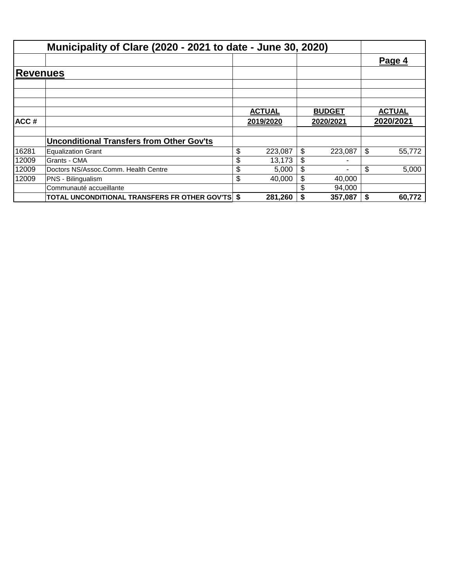|          | Municipality of Clare (2020 - 2021 to date - June 30, 2020) |               |           |               |         |    |               |
|----------|-------------------------------------------------------------|---------------|-----------|---------------|---------|----|---------------|
|          |                                                             |               |           |               |         |    | Page 4        |
| Revenues |                                                             |               |           |               |         |    |               |
|          |                                                             |               |           |               |         |    |               |
|          |                                                             | <b>ACTUAL</b> |           | <b>BUDGET</b> |         |    | <b>ACTUAL</b> |
| ACC#     |                                                             |               | 2019/2020 | 2020/2021     |         |    | 2020/2021     |
|          | <b>Unconditional Transfers from Other Gov'ts</b>            |               |           |               |         |    |               |
| 16281    | <b>Equalization Grant</b>                                   | \$            | 223,087   | \$            | 223.087 | \$ | 55,772        |
| 12009    | Grants - CMA                                                | S             | 13,173    | \$            |         |    |               |
| 12009    | Doctors NS/Assoc.Comm. Health Centre                        | \$            | 5,000     | \$            |         | \$ | 5,000         |
| 12009    | PNS - Bilingualism                                          | \$            | 40.000    | \$            | 40,000  |    |               |
|          | Communauté accueillante                                     |               |           |               | 94,000  |    |               |
|          | <b>TOTAL UNCONDITIONAL TRANSFERS FR OTHER GOV'TS \$</b>     |               | 281,260   |               | 357,087 | S  | 60,772        |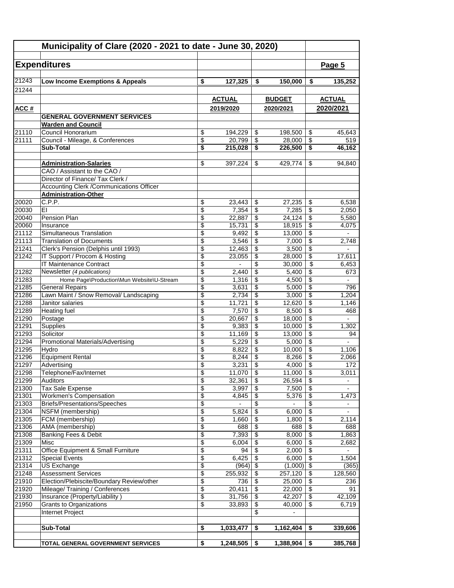|                | Municipality of Clare (2020 - 2021 to date - June 30, 2020)                  |                 |                  |                 |                  |                               |                          |
|----------------|------------------------------------------------------------------------------|-----------------|------------------|-----------------|------------------|-------------------------------|--------------------------|
|                |                                                                              |                 |                  |                 |                  |                               |                          |
|                | <b>Expenditures</b>                                                          |                 |                  |                 |                  |                               | Page 5                   |
| 21243          | Low Income Exemptions & Appeals                                              | \$              | 127,325          | \$              | 150,000          | \$                            | 135,252                  |
| 21244          |                                                                              |                 |                  |                 |                  |                               |                          |
|                |                                                                              |                 | <b>ACTUAL</b>    |                 | <b>BUDGET</b>    |                               | <b>ACTUAL</b>            |
|                |                                                                              |                 | 2019/2020        |                 | 2020/2021        |                               | 2020/2021                |
| <b>ACC#</b>    | <b>GENERAL GOVERNMENT SERVICES</b>                                           |                 |                  |                 |                  |                               |                          |
|                | <b>Warden and Council</b>                                                    |                 |                  |                 |                  |                               |                          |
| 21110          | Council Honorarium                                                           | \$              | 194,229          | \$              | 198,500          | \$                            | 45,643                   |
| 21111          | Council - Mileage, & Conferences                                             | \$              | 20,799           | \$              | 28.000           | \$                            | 519                      |
|                | <b>Sub-Total</b>                                                             | \$              | 215,028          | \$              | 226,500          | \$                            | 46,162                   |
|                |                                                                              |                 |                  |                 |                  |                               |                          |
|                | <b>Administration-Salaries</b>                                               | \$              | 397,224          | \$              | 429,774          | \$                            | 94,840                   |
|                | CAO / Assistant to the CAO /                                                 |                 |                  |                 |                  |                               |                          |
|                | Director of Finance/ Tax Clerk /                                             |                 |                  |                 |                  |                               |                          |
|                | Accounting Clerk / Communications Officer                                    |                 |                  |                 |                  |                               |                          |
|                | <b>Administration-Other</b>                                                  |                 |                  |                 |                  |                               |                          |
| 20020          | C.P.P.                                                                       | \$              | 23,443           | \$              | 27,235           | \$                            | 6,538                    |
| 20030          | ΕI                                                                           | \$              | 7,354            | \$              | 7,285            | \$                            | 2,050                    |
| 20040<br>20060 | Pension Plan<br>Insurance                                                    | \$<br>\$        | 22,887<br>15,731 | \$<br>\$        | 24,124<br>18,915 | \$<br>\$                      | 5,580                    |
| 21112          | Simultaneous Translation                                                     | \$              | 9,492            | \$              | 13,000           | \$                            | 4,075                    |
| 21113          | <b>Translation of Documents</b>                                              | \$              | 3,546            | \$              | 7,000            | \$                            | 2.748                    |
| 21241          | Clerk's Pension (Delphis until 1993)                                         | \$              | 12,463           | \$              | 3,500            | \$                            |                          |
| 21242          | IT Support / Procom & Hosting                                                | \$              | 23,055           | \$              | 28,000           | $\overline{\$}$               | 17,611                   |
|                | IT Maintenance Contract                                                      | \$              | $\overline{a}$   | \$              | 30,000           | \$                            | 6,453                    |
| 21282          | Newsletter (4 publications)                                                  | \$              | 2,440            | \$              | 5,400            | \$                            | 673                      |
| 21283          | Home Page\Production\Mun Website\U-Stream                                    | \$              | 1,316            | \$              | 4,500            | \$                            |                          |
| 21285          | <b>General Repairs</b>                                                       | \$              | 3,631            | \$              | 5,000            | \$                            | 796                      |
| 21286          | Lawn Maint / Snow Removal/ Landscaping                                       | \$              | 2,734            | \$              | 3,000            | \$                            | 1,204                    |
| 21288          | Janitor salaries                                                             | \$              | 11,721           | \$              | 12,620           | \$                            | 1,146                    |
| 21289          | <b>Heating fuel</b>                                                          | \$              | 7,570            | \$              | 8,500            | \$                            | 468                      |
| 21290          | Postage                                                                      | \$              | 20,667           | \$              | 18,000           | \$                            | $\overline{\phantom{0}}$ |
| 21291          | Supplies                                                                     | \$              | 9,383            | \$              | 10,000           | \$                            | 1,302                    |
| 21293          | Solicitor                                                                    | \$              | 11,169           | \$              | 13,000           | \$                            | 94                       |
| 21294          | <b>Promotional Materials/Advertising</b>                                     | \$              | 5,229            | \$              | 5,000            | \$                            |                          |
| 21295<br>21296 | Hydro<br><b>Equipment Rental</b>                                             | \$              | 8,822            | \$<br>\$        | 10,000           | \$<br>\$                      | 1,106                    |
| 21297          | Advertising                                                                  | \$<br>\$        | 8,244<br>3,231   | $\,$            | 8,266<br>4,000   | $\overline{\mathbf{S}}$       | 2,066<br>172             |
| 21298          | Telephone/Fax/Internet                                                       | \$              | $11,070$ \$      |                 | 11,000           | $\overline{\mathcal{L}}$      | 3,011                    |
| 21299          | Auditors                                                                     | \$              | 32,361           | \$              | 26,594           | \$                            | $\overline{\phantom{a}}$ |
| 21300          | <b>Tax Sale Expense</b>                                                      | \$              | 3,997            | \$              | 7,500            | \$                            |                          |
| 21301          | <b>Workmen's Compensation</b>                                                | $\overline{\$}$ | 4,845            | $\overline{\$}$ | 5,376            | $\overline{\$}$               | 1,473                    |
| 21303          | Briefs/Presentations/Speeches                                                | \$              |                  | \$              |                  | $\overline{\$}$               |                          |
| 21304          | NSFM (membership)                                                            | \$              | 5,824            | \$              | 6,000            | $\overline{\mathcal{E}}$      | $\overline{\phantom{a}}$ |
| 21305          | FCM (membership)                                                             | \$              | 1,660            | \$              | 1,800            | \$                            | 2,114                    |
| 21306          | AMA (membership)                                                             | \$              | 688              | \$              | 688              | \$                            | 688                      |
| 21308          | Banking Fees & Debit                                                         | \$              | 7,393            | \$              | 8,000            | \$                            | 1,863                    |
| 21309          | Misc                                                                         | \$              | 6,004            | \$              | 6,000            | $\overline{\mathbf{3}}$       | 2,682                    |
| 21311          | Office Equipment & Small Furniture                                           | \$              | 94               | \$              | 2,000            | \$                            |                          |
| 21312          | <b>Special Events</b>                                                        | \$              | 6,425            | \$              | 6,000            | $\overline{\$}$               | 1,504                    |
| 21314          | <b>US Exchange</b>                                                           | \$              | (964)            | \$              | (1,000)          | $\sqrt{2}$                    | (365)                    |
| 21248          | <b>Assessment Services</b>                                                   | \$              | 255,932          | \$              | 257,120          | \$                            | 128,560                  |
| 21910<br>21920 | Election/Plebiscite/Boundary Review/other<br>Mileage/ Training / Conferences | \$<br>\$        | 736<br>20,411    | \$<br>\$        | 25,000<br>22,000 | \$<br>$\overline{\mathbf{S}}$ | 236<br>91                |
| 21930          | Insurance (Property/Liability)                                               | \$              | 31,756           | \$              | 42,207           | $\overline{\$}$               | 42,109                   |
| 21950          | Grants to Organizations                                                      | \$              | 33,893           | \$              | 40,000           | \$                            | 6,719                    |
|                | Internet Project                                                             |                 |                  | \$              | $\overline{a}$   |                               |                          |
|                |                                                                              |                 |                  |                 |                  |                               |                          |
|                | <b>Sub-Total</b>                                                             | \$              | 1,033,477        | \$              | 1,162,404        | \$                            | 339,606                  |
|                |                                                                              |                 |                  |                 |                  |                               |                          |
|                | TOTAL GENERAL GOVERNMENT SERVICES                                            | \$              | 1,248,505        | \$              | 1,388,904        | \$                            | 385,768                  |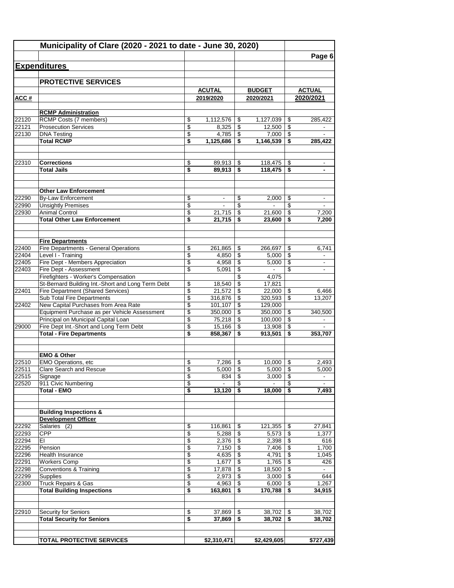|                | Municipality of Clare (2020 - 2021 to date - June 30, 2020)                         |          |                          |          |                    |                                    |                          |
|----------------|-------------------------------------------------------------------------------------|----------|--------------------------|----------|--------------------|------------------------------------|--------------------------|
|                | <b>Expenditures</b>                                                                 |          |                          |          |                    |                                    | Page 6                   |
|                |                                                                                     |          |                          |          |                    |                                    |                          |
|                | <b>PROTECTIVE SERVICES</b>                                                          |          |                          |          |                    |                                    |                          |
|                |                                                                                     |          | <b>ACUTAL</b>            |          | <b>BUDGET</b>      |                                    | <b>ACTUAL</b>            |
| ACC#           |                                                                                     |          | 2019/2020                |          | 2020/2021          |                                    | 2020/2021                |
|                | <b>RCMP Administration</b>                                                          |          |                          |          |                    |                                    |                          |
| 22120          | RCMP Costs (7 members)                                                              | \$       | 1,112,576                | \$       | $1,127,039$ \ \$   |                                    | 285,422                  |
| 22121          | <b>Prosecution Services</b>                                                         | \$       | 8,325                    | \$       | 12,500             | \$                                 |                          |
| 22130          | <b>DNA Testing</b>                                                                  | \$       | 4,785                    | \$       | 7,000              | \$                                 |                          |
|                | <b>Total RCMP</b>                                                                   | \$       | 1,125,686                | \$       | 1,146,539          | \$                                 | 285,422                  |
| 22310          | <b>Corrections</b>                                                                  | \$       | 89,913                   | \$       |                    |                                    |                          |
|                | <b>Total Jails</b>                                                                  | \$       | 89,913                   | \$       | 118,475            | \$                                 |                          |
|                |                                                                                     |          |                          |          |                    |                                    |                          |
|                | <b>Other Law Enforcement</b>                                                        |          |                          |          |                    |                                    |                          |
| 22290          | <b>By-Law Enforcement</b>                                                           | \$<br>\$ | $\overline{\phantom{a}}$ | \$<br>\$ | 2.000              | \$<br>\$                           | $\overline{\phantom{a}}$ |
| 22990<br>22930 | <b>Unsightly Premises</b><br><b>Animal Control</b>                                  | \$       | 21,715                   | \$       | 21.600             | \$                                 | 7,200                    |
|                | <b>Total Other Law Enforcement</b>                                                  | \$       | 21,715                   | \$       | 23,600             | \$                                 | 7,200                    |
|                |                                                                                     |          |                          |          |                    |                                    |                          |
|                | <b>Fire Departments</b>                                                             |          |                          |          |                    |                                    |                          |
| 22400<br>22404 | <b>Fire Departments - General Operations</b><br>Level I - Training                  | \$<br>\$ | 261,865<br>4,850         | \$<br>\$ | 266,697<br>5,000   | \$<br>$\sqrt[6]{3}$                | 6,741                    |
| 22405          | Fire Dept - Members Appreciation                                                    | \$       | 4,958                    | \$       | 5,000              | \$                                 | $\blacksquare$           |
| 22403          | Fire Dept - Assessment                                                              | \$       | 5,091                    | \$       | $\sim$             | \$                                 |                          |
|                | Firefighters - Worker's Compensation                                                |          |                          | \$       | 4,075              |                                    |                          |
|                | St-Bernard Building Int.-Short and Long Term Debt                                   | \$       | 18,540                   | \$       | 17,821             |                                    |                          |
| 22401          | <b>Fire Department (Shared Services)</b>                                            | \$       | 21,572                   | \$       | 22,000             | \$                                 | 6,466                    |
|                | Sub Total Fire Departments                                                          | \$       | 316,876                  | \$       | 320,593            | \$                                 | 13,207                   |
| 22402          | New Capital Purchases from Area Rate                                                | \$       | 101,107                  | \$       | 129,000            |                                    |                          |
|                | Equipment Purchase as per Vehicle Assessment<br>Principal on Municipal Capital Loan | \$<br>\$ | 350,000<br>75,218        | \$<br>\$ | 350,000<br>100,000 | \$<br>\$                           | 340,500                  |
| 29000          | Fire Dept Int.-Short and Long Term Debt                                             | \$       | 15,166                   | \$       | 13,908             | $\sqrt[6]{3}$                      |                          |
|                | <b>Total - Fire Departments</b>                                                     | \$       | 858,367                  | \$       | 913,501            | \$                                 | 353,707                  |
|                |                                                                                     |          |                          |          |                    |                                    |                          |
|                | <b>EMO &amp; Other</b>                                                              |          |                          |          |                    |                                    |                          |
| 22510<br>22511 | <b>EMO Operations, etc.</b><br><b>Clare Search and Rescue</b>                       | \$       | 7,286                    | \$       | 10,000             | \$                                 | 2,493<br>5,000           |
| 22515          | Signage                                                                             | \$<br>\$ | 5,000<br>834             | \$<br>\$ | 5,000<br>3,000     | \$<br>\$                           |                          |
| 22520          | 911 Civic Numbering                                                                 | \$       |                          | \$       |                    | \$                                 |                          |
|                | <b>Total - EMO</b>                                                                  | \$       | 13,120                   | \$       | 18,000             | \$                                 | 7,493                    |
|                | <b>Building Inspections &amp;</b>                                                   |          |                          |          |                    |                                    |                          |
|                | <b>Development Officer</b>                                                          |          |                          |          |                    |                                    |                          |
| 22292          | Salaries (2)                                                                        | \$       | 116,861                  | \$       | 121,355            | \$                                 | 27,841                   |
| 22293          | <b>CPP</b>                                                                          | \$       | 5,288                    | \$       | 5,573              | $\overline{\boldsymbol{\epsilon}}$ | 1,377                    |
| 22294          | ΕI                                                                                  | \$       | 2,376                    | \$       | 2,398              | \$                                 | 616                      |
| 22295          | Pension                                                                             | \$       | 7,150                    | \$       | 7,406              | \$                                 | 1,700                    |
| 22296<br>22291 | <b>Health Insurance</b><br><b>Workers Comp</b>                                      | \$<br>\$ | 4,635<br>1,677           | \$<br>\$ | 4,791<br>1,765     | \$<br>\$                           | 1,045<br>426             |
| 22298          | Conventions & Training                                                              | \$       | 17,878                   | \$       | 18,500             | \$                                 |                          |
| 22299          | Supplies                                                                            | \$       | 2,973                    | \$       | 3,000              | \$                                 | 644                      |
| 22300          | <b>Truck Repairs &amp; Gas</b>                                                      | \$       | 4,963                    | \$       | 6,000              | \$                                 | 1,267                    |
|                | <b>Total Building Inspections</b>                                                   | \$       | 163,801                  | \$       | 170,788            | \$                                 | 34,915                   |
| 22910          | Security for Seniors                                                                | \$       | 37,869                   | \$       | 38,702             | \$                                 | 38,702                   |
|                | <b>Total Security for Seniors</b>                                                   | \$       | 37,869                   | \$       | $38,702$   \$      |                                    | 38,702                   |
|                |                                                                                     |          |                          |          |                    |                                    |                          |
|                | <b>TOTAL PROTECTIVE SERVICES</b>                                                    |          | \$2,310,471              |          | \$2,429,605        |                                    | \$727,439                |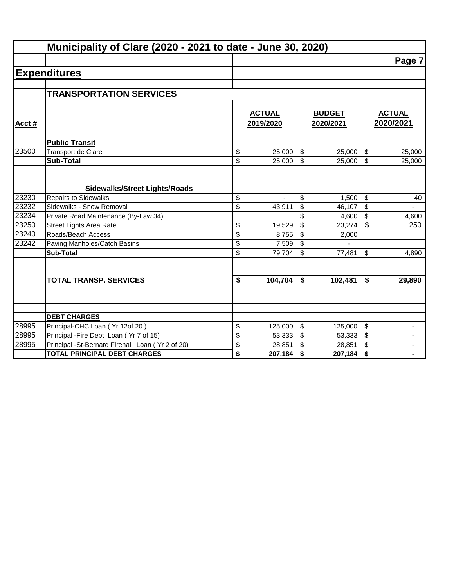|                | Municipality of Clare (2020 - 2021 to date - June 30, 2020)                |          |                  |                |                  |            |                          |
|----------------|----------------------------------------------------------------------------|----------|------------------|----------------|------------------|------------|--------------------------|
|                |                                                                            |          |                  |                |                  |            | Page 7                   |
|                | <b>Expenditures</b>                                                        |          |                  |                |                  |            |                          |
|                |                                                                            |          |                  |                |                  |            |                          |
|                | <b>TRANSPORTATION SERVICES</b>                                             |          |                  |                |                  |            |                          |
|                |                                                                            |          |                  |                |                  |            |                          |
|                |                                                                            |          | <b>ACTUAL</b>    |                | <b>BUDGET</b>    |            | <b>ACTUAL</b>            |
| Acct#          |                                                                            |          | 2019/2020        |                | 2020/2021        |            | 2020/2021                |
|                | <b>Public Transit</b>                                                      |          |                  |                |                  |            |                          |
| 23500          | Transport de Clare                                                         | \$       | 25,000           | \$             | 25,000           | \$         | 25,000                   |
|                | <b>Sub-Total</b>                                                           | \$       | 25,000           | $\mathbb{S}$   | 25,000           | \$         | 25,000                   |
|                |                                                                            |          |                  |                |                  |            |                          |
|                | <b>Sidewalks/Street Lights/Roads</b>                                       |          |                  |                |                  |            |                          |
| 23230          | <b>Repairs to Sidewalks</b>                                                | \$       |                  | \$             | 1,500            | \$         | 40                       |
| 23232          | Sidewalks - Snow Removal                                                   | \$       | 43,911           | \$             | 46,107           | \$         |                          |
| 23234          | Private Road Maintenance (By-Law 34)                                       |          |                  | \$             | 4,600            | \$         | 4,600                    |
| 23250          | <b>Street Lights Area Rate</b>                                             | \$       | 19,529           | $\mathfrak{S}$ | 23,274           | $\sqrt{3}$ | 250                      |
| 23240          | Roads/Beach Access                                                         | \$       | 8,755            | \$             | 2,000            |            |                          |
| 23242          | Paving Manholes/Catch Basins                                               | \$       | 7,509            | \$             |                  |            |                          |
|                | <b>Sub-Total</b>                                                           | \$       | 79,704           | \$             | 77,481           | \$         | 4,890                    |
|                |                                                                            |          |                  |                |                  |            |                          |
|                | <b>TOTAL TRANSP. SERVICES</b>                                              | \$       | 104,704          | \$             | 102,481          | \$         | 29,890                   |
|                |                                                                            |          |                  |                |                  |            |                          |
|                |                                                                            |          |                  |                |                  |            |                          |
|                |                                                                            |          |                  |                |                  |            |                          |
|                | <b>DEBT CHARGES</b>                                                        |          |                  |                |                  |            |                          |
| 28995<br>28995 | Principal-CHC Loan (Yr.12of 20)<br>Principal - Fire Dept Loan (Yr 7 of 15) | \$       | 125,000          | \$             | 125,000          | \$         | $\overline{\phantom{a}}$ |
| 28995          | Principal -St-Bernard Firehall Loan (Yr 2 of 20)                           | \$<br>\$ | 53,333<br>28,851 | \$<br>\$       | 53,333<br>28,851 | \$<br>\$   | $\blacksquare$           |
|                | <b>TOTAL PRINCIPAL DEBT CHARGES</b>                                        | \$       | 207,184          | \$             | 207,184          | \$         |                          |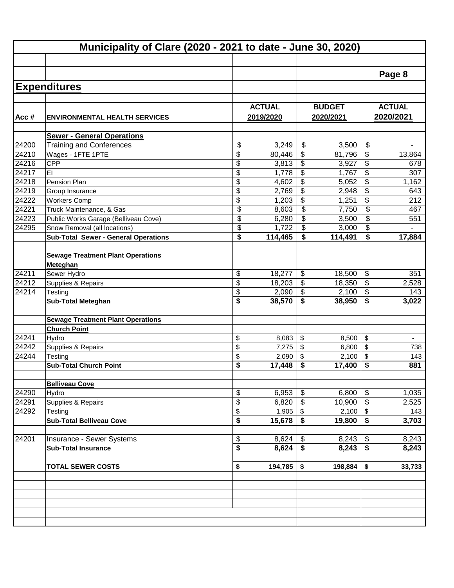|         | Municipality of Clare (2020 - 2021 to date - June 30, 2020) |          |                 |                                      |                 |                         |           |  |
|---------|-------------------------------------------------------------|----------|-----------------|--------------------------------------|-----------------|-------------------------|-----------|--|
|         |                                                             |          |                 |                                      |                 |                         | Page 8    |  |
|         | <b>Expenditures</b>                                         |          |                 |                                      |                 |                         |           |  |
|         |                                                             |          |                 |                                      |                 |                         |           |  |
|         |                                                             |          | <b>ACTUAL</b>   |                                      | <b>BUDGET</b>   | <b>ACTUAL</b>           |           |  |
| Acc $#$ | <b>ENVIRONMENTAL HEALTH SERVICES</b>                        |          | 2019/2020       |                                      | 2020/2021       |                         | 2020/2021 |  |
|         |                                                             |          |                 |                                      |                 |                         |           |  |
| 24200   | <b>Sewer - General Operations</b>                           |          |                 |                                      |                 | \$                      |           |  |
| 24210   | <b>Training and Conferences</b><br>Wages - 1FTE 1PTE        | \$<br>\$ | 3,249<br>80,446 | \$<br>\$                             | 3,500<br>81,796 | \$                      | 13,864    |  |
| 24216   | <b>CPP</b>                                                  | \$       | 3,813           | \$                                   | 3,927           | \$                      | 678       |  |
| 24217   | EI                                                          | \$       | 1,778           | \$                                   | 1,767           | \$                      | 307       |  |
| 24218   | Pension Plan                                                | \$       | 4,602           | \$                                   | 5,052           | \$                      | 1,162     |  |
| 24219   | Group Insurance                                             | \$       | 2,769           | \$                                   | 2,948           | \$                      | 643       |  |
| 24222   | <b>Workers Comp</b>                                         | \$       | 1,203           | \$                                   | 1,251           | \$                      | 212       |  |
| 24221   | Truck Maintenance, & Gas                                    | \$       | 8,603           | \$                                   | 7,750           | \$                      | 467       |  |
| 24223   | Public Works Garage (Belliveau Cove)                        | \$       | 6,280           | \$                                   | 3,500           | \$                      | 551       |  |
| 24295   | Snow Removal (all locations)                                | \$       | 1,722           | \$                                   | 3,000           | \$                      |           |  |
|         | <b>Sub-Total Sewer - General Operations</b>                 | \$       | 114,465         | \$                                   | 114,491         | \$                      | 17,884    |  |
|         |                                                             |          |                 |                                      |                 |                         |           |  |
|         | <b>Sewage Treatment Plant Operations</b>                    |          |                 |                                      |                 |                         |           |  |
|         | Meteghan                                                    |          |                 |                                      |                 |                         |           |  |
| 24211   | Sewer Hydro                                                 | \$       | 18,277          | \$                                   | 18,500          | \$                      | 351       |  |
| 24212   | Supplies & Repairs                                          | \$       | 18,203          | \$                                   | 18,350          | \$                      | 2,528     |  |
| 24214   | Testing                                                     | \$       | 2,090           | \$                                   | 2,100           | $\sqrt[6]{\frac{1}{2}}$ | 143       |  |
|         | <b>Sub-Total Meteghan</b>                                   | \$       | 38,570          | \$                                   | 38,950          | \$                      | 3,022     |  |
|         |                                                             |          |                 |                                      |                 |                         |           |  |
|         | <b>Sewage Treatment Plant Operations</b>                    |          |                 |                                      |                 |                         |           |  |
|         | <b>Church Point</b>                                         |          |                 |                                      |                 |                         |           |  |
| 24241   | Hydro                                                       | \$       | 8,083           | \$                                   | 8,500           | $\sqrt{2}$              | ٠         |  |
| 24242   | Supplies & Repairs                                          | \$       | 7,275           | \$                                   | 6,800           | \$                      | 738       |  |
| 24244   | Testing                                                     | \$       | 2,090           | \$                                   | 2,100           | \$                      | 143       |  |
|         | <b>Sub-Total Church Point</b>                               | \$       | 17,448          | \$                                   | 17,400          | -\$                     | 881       |  |
|         | <b>Belliveau Cove</b>                                       |          |                 |                                      |                 |                         |           |  |
| 24290   | Hydro                                                       | \$       | 6,953           | \$                                   | 6,800           | \$                      | 1,035     |  |
| 24291   | Supplies & Repairs                                          | \$       | 6,820           | $\sqrt[6]{\frac{1}{2}}$              | 10,900          | $\sqrt[6]{3}$           | 2,525     |  |
| 24292   | Testing                                                     | \$       | 1,905           | $\boldsymbol{\mathsf{S}}$            |                 |                         | 143       |  |
|         | <b>Sub-Total Belliveau Cove</b>                             | \$       | 15,678          | $\overline{\boldsymbol{\mathsf{s}}}$ | 19,800          | $\overline{\bullet}$    | 3,703     |  |
|         |                                                             |          |                 |                                      |                 |                         |           |  |
| 24201   | Insurance - Sewer Systems                                   | \$       | 8,624           | \$                                   | 8,243           | $\sqrt[6]{\frac{1}{2}}$ | 8,243     |  |
|         | <b>Sub-Total Insurance</b>                                  | \$       | 8,624           | $\overline{\boldsymbol{\mathsf{s}}}$ | 8,243           | $\overline{\bullet}$    | 8,243     |  |
|         |                                                             |          |                 |                                      |                 |                         |           |  |
|         | <b>TOTAL SEWER COSTS</b>                                    | \$       | 194,785         | \$                                   | 198,884         | \$                      | 33,733    |  |
|         |                                                             |          |                 |                                      |                 |                         |           |  |
|         |                                                             |          |                 |                                      |                 |                         |           |  |
|         |                                                             |          |                 |                                      |                 |                         |           |  |
|         |                                                             |          |                 |                                      |                 |                         |           |  |
|         |                                                             |          |                 |                                      |                 |                         |           |  |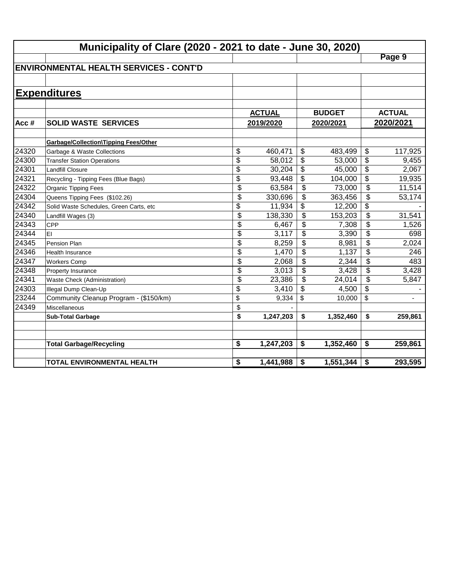|       | Municipality of Clare (2020 - 2021 to date - June 30, 2020) |                                    |               |                           |               |                 |               |  |  |  |
|-------|-------------------------------------------------------------|------------------------------------|---------------|---------------------------|---------------|-----------------|---------------|--|--|--|
|       |                                                             |                                    |               |                           |               |                 | Page 9        |  |  |  |
|       | <b>ENVIRONMENTAL HEALTH SERVICES - CONT'D</b>               |                                    |               |                           |               |                 |               |  |  |  |
|       |                                                             |                                    |               |                           |               |                 |               |  |  |  |
|       | <b>Expenditures</b>                                         |                                    |               |                           |               |                 |               |  |  |  |
|       |                                                             |                                    |               |                           |               |                 |               |  |  |  |
|       |                                                             |                                    | <b>ACTUAL</b> |                           | <b>BUDGET</b> |                 | <b>ACTUAL</b> |  |  |  |
| Acc#  | <b>SOLID WASTE SERVICES</b>                                 |                                    | 2019/2020     |                           | 2020/2021     |                 | 2020/2021     |  |  |  |
|       |                                                             |                                    |               |                           |               |                 |               |  |  |  |
|       | <b>Garbage/Collection\Tipping Fees/Other</b>                |                                    |               |                           |               |                 |               |  |  |  |
| 24320 | Garbage & Waste Collections                                 | \$                                 | 460,471       | $\boldsymbol{\mathsf{S}}$ | 483,499       | \$              | 117,925       |  |  |  |
| 24300 | <b>Transfer Station Operations</b>                          | $\overline{\$}$                    | 58,012        | \$                        | 53,000        | \$              | 9,455         |  |  |  |
| 24301 | <b>Landfill Closure</b>                                     | $\overline{\$}$<br>$\overline{\$}$ | 30,204        | \$                        | 45,000        | $\overline{\$}$ | 2,067         |  |  |  |
| 24321 | Recycling - Tipping Fees (Blue Bags)                        |                                    | 93,448        | \$                        | 104,000       | $\overline{\$}$ | 19,935        |  |  |  |
| 24322 | Organic Tipping Fees                                        | \$                                 | 63,584        | \$                        | 73,000        | \$              | 11,514        |  |  |  |
| 24304 | Queens Tipping Fees (\$102.26)                              | $\overline{\$}$                    | 330,696       | $\overline{\mathcal{L}}$  | 363,456       | \$              | 53,174        |  |  |  |
| 24342 | Solid Waste Schedules, Green Carts, etc                     | \$                                 | 11,934        | \$                        | 12,200        | \$              |               |  |  |  |
| 24340 | Landfill Wages (3)                                          | $\overline{\mathcal{L}}$           | 138,330       | \$                        | 153,203       | \$              | 31,541        |  |  |  |
| 24343 | <b>CPP</b>                                                  | \$                                 | 6,467         | \$                        | 7,308         | \$              | 1,526         |  |  |  |
| 24344 | EI                                                          | \$                                 | 3,117         | \$                        | 3,390         | \$              | 698           |  |  |  |
| 24345 | Pension Plan                                                | \$                                 | 8,259         | \$                        | 8,981         | \$              | 2,024         |  |  |  |
| 24346 | <b>Health Insurance</b>                                     | $\overline{\$}$                    | 1,470         | \$                        | 1,137         | \$              | 246           |  |  |  |
| 24347 | <b>Workers Comp</b>                                         | \$                                 | 2,068         | \$                        | 2,344         | \$              | 483           |  |  |  |
| 24348 | Property Insurance                                          | \$                                 | 3,013         | $\boldsymbol{\mathsf{S}}$ | 3,428         | \$              | 3,428         |  |  |  |
| 24341 | Waste Check (Administration)                                | \$                                 | 23,386        | \$                        | 24,014        | \$              | 5,847         |  |  |  |
| 24303 | Illegal Dump Clean-Up                                       | \$                                 | 3,410         | \$                        | 4,500         | \$              |               |  |  |  |
| 23244 | Community Cleanup Program - (\$150/km)                      | \$                                 | 9,334         | \$                        | 10,000        | \$              | ä,            |  |  |  |
| 24349 | <b>Miscellaneous</b>                                        | \$                                 |               |                           |               |                 |               |  |  |  |
|       | <b>Sub-Total Garbage</b>                                    | \$                                 | 1,247,203     | \$                        | 1,352,460     | \$              | 259,861       |  |  |  |
|       |                                                             |                                    |               |                           |               |                 |               |  |  |  |
|       | <b>Total Garbage/Recycling</b>                              | \$                                 | 1,247,203     | \$                        | 1,352,460     | \$              | 259,861       |  |  |  |
|       |                                                             |                                    |               |                           |               |                 |               |  |  |  |
|       | <b>TOTAL ENVIRONMENTAL HEALTH</b>                           | \$                                 | 1,441,988     | \$                        | 1,551,344     | \$              | 293,595       |  |  |  |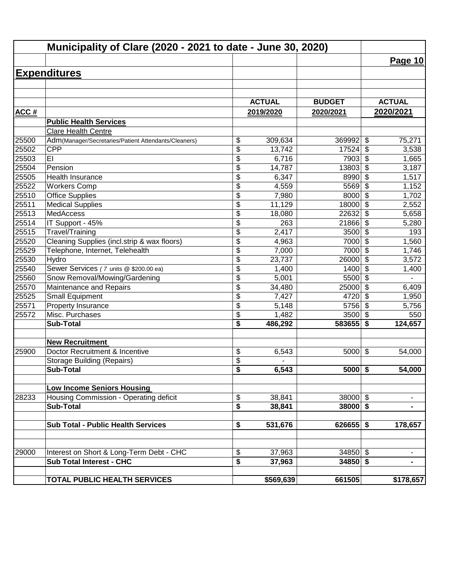|             | Municipality of Clare (2020 - 2021 to date - June 30, 2020) |                                      |               |               |                                  |                |
|-------------|-------------------------------------------------------------|--------------------------------------|---------------|---------------|----------------------------------|----------------|
|             |                                                             |                                      |               |               |                                  | Page 10        |
|             | <b>Expenditures</b>                                         |                                      |               |               |                                  |                |
|             |                                                             |                                      |               |               |                                  |                |
|             |                                                             |                                      |               |               |                                  |                |
|             |                                                             |                                      | <b>ACTUAL</b> | <b>BUDGET</b> |                                  | <b>ACTUAL</b>  |
| <b>ACC#</b> |                                                             |                                      | 2019/2020     | 2020/2021     |                                  | 2020/2021      |
|             | <b>Public Health Services</b>                               |                                      |               |               |                                  |                |
|             | Clare Health Centre                                         |                                      |               |               |                                  |                |
| 25500       | Adm(Manager/Secretaries/Patient Attendants/Cleaners)        | \$                                   | 309,634       | 369992        | \$                               | 75,271         |
| 25502       | <b>CPP</b>                                                  | \$                                   | 13,742        | 17524         | \$                               | 3,538          |
| 25503       | EI                                                          | \$                                   | 6,716         | 7903          | \$                               | 1,665          |
| 25504       | Pension                                                     | \$                                   | 14, 787       | 13803         | \$                               | 3,187          |
| 25505       | Health Insurance                                            | \$                                   | 6,347         | 8990          | $\overline{\boldsymbol{\theta}}$ | 1,517          |
| 25522       | <b>Workers Comp</b>                                         | \$                                   | 4,559         | 5569          | $\overline{\$}$                  | 1,152          |
| 25510       | <b>Office Supplies</b>                                      | $\overline{\$}$                      | 7,980         | 8000          | $\overline{\$}$                  | 1,702          |
| 25511       | <b>Medical Supplies</b>                                     | \$                                   | 11,129        | 18000         | $\overline{\mathcal{S}}$         | 2,552          |
| 25513       | MedAccess                                                   | \$                                   | 18,080        | 22632         | \$                               | 5,658          |
| 25514       | IT Support - 45%                                            | \$                                   | 263           | 21866         | $\boldsymbol{\mathsf{S}}$        | 5,280          |
| 25515       | Travel/Training                                             | \$                                   | 2,417         | 3500          | \$                               | 193            |
| 25520       | Cleaning Supplies (incl.strip & wax floors)                 | \$                                   | 4,963         | 7000          | \$                               | 1,560          |
| 25529       | Telephone, Internet, Telehealth                             | \$                                   | 7,000         | 7000          | $\boldsymbol{\mathsf{S}}$        | 1,746          |
| 25530       | Hydro                                                       | \$                                   | 23,737        | 26000         | $\boldsymbol{\mathsf{S}}$        | 3,572          |
| 25540       | Sewer Services (7 units @ \$200.00 ea)                      | \$                                   | 1,400         | 1400          | $\boldsymbol{\mathsf{S}}$        | 1,400          |
| 25560       | Snow Removal/Mowing/Gardening                               | \$                                   | 5,001         | 5500          | $\overline{\mathcal{L}}$         |                |
| 25570       | Maintenance and Repairs                                     | \$                                   | 34,480        | 25000         | $\sqrt{3}$                       | 6,409          |
| 25525       | <b>Small Equipment</b>                                      | \$                                   | 7,427         | 4720          | \$                               | 1,950          |
| 25571       | Property Insurance                                          | \$                                   | 5,148         | 5756          | \$                               | 5,756          |
| 25572       | Misc. Purchases                                             | \$                                   | 1,482         | 3500          | \$                               | 550            |
|             | <b>Sub-Total</b>                                            | \$                                   | 486,292       | 583655        | \$                               | 124,657        |
|             | <b>New Recruitment</b>                                      |                                      |               |               |                                  |                |
| 25900       | Doctor Recruitment & Incentive                              | \$                                   | 6,543         | 5000          | $\boldsymbol{\mathsf{S}}$        | 54,000         |
|             | <b>Storage Building (Repairs)</b>                           | \$                                   |               |               |                                  |                |
|             | Sub-Total                                                   | $\overline{\boldsymbol{s}}$          | 6,543         | $5000$ \$     |                                  | 54,000         |
|             |                                                             |                                      |               |               |                                  |                |
|             | <b>Low Income Seniors Housing</b>                           |                                      |               |               |                                  |                |
| 28233       | Housing Commission - Operating deficit                      | \$                                   | 38,841        | $38000$ \$    |                                  | ۰              |
|             | <b>Sub-Total</b>                                            | \$                                   | 38,841        | $38000$ \$    |                                  | -              |
|             | <b>Sub Total - Public Health Services</b>                   | \$                                   | 531,676       | $626655$ \$   |                                  | 178,657        |
|             |                                                             |                                      |               |               |                                  |                |
|             |                                                             |                                      |               |               |                                  |                |
| 29000       | Interest on Short & Long-Term Debt - CHC                    | \$                                   | 37,963        | $34850$ \$    |                                  | -              |
|             | <b>Sub Total Interest - CHC</b>                             | $\overline{\boldsymbol{\mathsf{s}}}$ | 37,963        | $34850$ \$    |                                  | $\blacksquare$ |
|             | <b>TOTAL PUBLIC HEALTH SERVICES</b>                         |                                      | \$569,639     | 661505        |                                  | \$178,657      |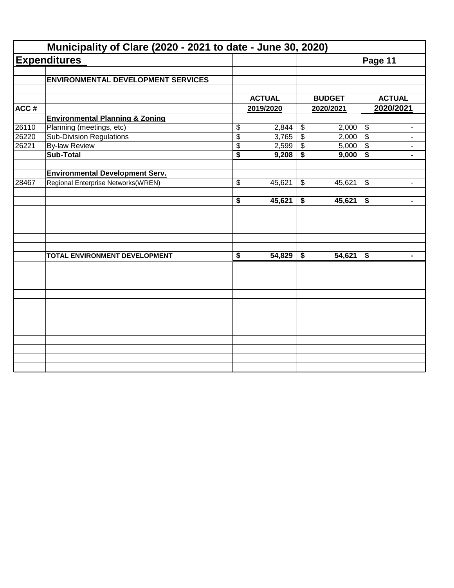|       | Municipality of Clare (2020 - 2021 to date - June 30, 2020) |                                      |               |                                      |               |                                                        |
|-------|-------------------------------------------------------------|--------------------------------------|---------------|--------------------------------------|---------------|--------------------------------------------------------|
|       | <b>Expenditures</b>                                         |                                      |               |                                      |               | Page 11                                                |
|       | <b>ENVIRONMENTAL DEVELOPMENT SERVICES</b>                   |                                      |               |                                      |               |                                                        |
|       |                                                             |                                      |               |                                      |               |                                                        |
|       |                                                             |                                      | <b>ACTUAL</b> |                                      | <b>BUDGET</b> | <b>ACTUAL</b>                                          |
| ACC#  |                                                             |                                      | 2019/2020     |                                      | 2020/2021     | 2020/2021                                              |
|       | <b>Environmental Planning &amp; Zoning</b>                  |                                      |               |                                      |               |                                                        |
| 26110 | Planning (meetings, etc)                                    | \$                                   | 2,844         | $\boldsymbol{\mathsf{\$}}$           | 2,000         | $\sqrt[6]{\frac{1}{2}}$<br>$\overline{\phantom{a}}$    |
| 26220 | <b>Sub-Division Regulations</b>                             | $\overline{\$}$                      | 3,765         | $\overline{\$}$                      | 2,000         | $\overline{\mathcal{S}}$<br>$\overline{\phantom{a}}$   |
| 26221 | <b>By-law Review</b>                                        | \$                                   | 2,599         | $\sqrt[6]{\frac{1}{2}}$              | 5,000         | $\sqrt[6]{3}$<br>$\overline{\phantom{a}}$              |
|       | <b>Sub-Total</b>                                            | $\overline{\$}$                      | 9,208         | $\overline{\boldsymbol{\mathsf{s}}}$ | 9,000         | \$<br>$\blacksquare$                                   |
|       | <b>Environmental Development Serv.</b>                      |                                      |               |                                      |               |                                                        |
| 28467 | Regional Enterprise Networks(WREN)                          | \$                                   | 45,621        | \$                                   | 45,621        | $\boldsymbol{\mathcal{F}}$<br>$\overline{\phantom{a}}$ |
|       |                                                             | $\overline{\bullet}$                 | 45,621        | \$                                   | 45,621        | \$<br>$\blacksquare$                                   |
|       |                                                             |                                      |               |                                      |               |                                                        |
|       | TOTAL ENVIRONMENT DEVELOPMENT                               | $\overline{\boldsymbol{\mathsf{s}}}$ | 54,829        | \$                                   | 54,621        | \$<br>$\blacksquare$                                   |
|       |                                                             |                                      |               |                                      |               |                                                        |
|       |                                                             |                                      |               |                                      |               |                                                        |
|       |                                                             |                                      |               |                                      |               |                                                        |
|       |                                                             |                                      |               |                                      |               |                                                        |
|       |                                                             |                                      |               |                                      |               |                                                        |
|       |                                                             |                                      |               |                                      |               |                                                        |
|       |                                                             |                                      |               |                                      |               |                                                        |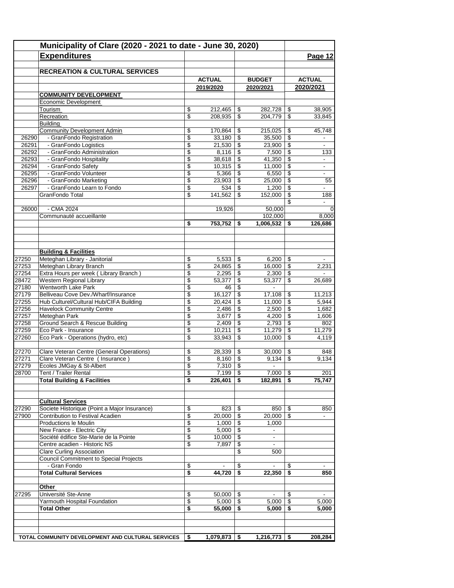|                | Municipality of Clare (2020 - 2021 to date - June 30, 2020)                      |          |                 |                 |                          |                          |                          |
|----------------|----------------------------------------------------------------------------------|----------|-----------------|-----------------|--------------------------|--------------------------|--------------------------|
|                | <b>Expenditures</b>                                                              |          |                 |                 |                          |                          | Page 12                  |
|                |                                                                                  |          |                 |                 |                          |                          |                          |
|                | <b>RECREATION &amp; CULTURAL SERVICES</b>                                        |          |                 |                 |                          |                          |                          |
|                |                                                                                  |          | <b>ACTUAL</b>   |                 | <b>BUDGET</b>            |                          | <b>ACTUAL</b>            |
|                |                                                                                  |          | 2019/2020       |                 | 2020/2021                |                          | 2020/2021                |
|                | <b>COMMUNITY DEVELOPMENT</b>                                                     |          |                 |                 |                          |                          |                          |
|                | Economic Development                                                             | \$       | 212,465         |                 |                          |                          | 38,905                   |
|                | Tourism<br>Recreation                                                            | \$       | 208,935         | \$<br>\$        | 282,728<br>204,779       | \$<br>\$                 | 33,845                   |
|                | Building                                                                         |          |                 |                 |                          |                          |                          |
|                | <b>Community Development Admin</b>                                               | \$       | 170,864         | S               | 215,025                  | \$                       | 45,748                   |
| 26290          | - GranFondo Registration                                                         | \$       | 33,180          | \$              | 35,500                   | \$                       |                          |
| 26291          | - GranFondo Logistics                                                            | \$       | 21,530          | \$              | 23,900                   | \$                       | $\blacksquare$           |
| 26292          | - GranFondo Administration                                                       | \$       | 8,116           | \$              | 7,500                    | \$                       | 133                      |
| 26293          | - GranFondo Hospitality                                                          | \$       | 38,618          | \$              | 41,350                   | \$                       |                          |
| 26294          | - GranFondo Safety                                                               | \$       | 10,315          | \$              | 11,000                   | \$                       | $\blacksquare$           |
| 26295<br>26296 | - GranFondo Volunteer<br>- GranFondo Marketing                                   | \$<br>\$ | 5,366<br>23,903 | \$<br>\$        | 6,550<br>25,000          | \$<br>\$                 | 55                       |
| 26297          | - GranFondo Learn to Fondo                                                       | \$       | 534             | \$              | 1,200                    | \$                       | $\sim$                   |
|                | GranFondo Total                                                                  | \$       | 141,562         | \$              | 152,000                  | \$                       | 188                      |
|                |                                                                                  |          |                 |                 |                          | \$                       | $\blacksquare$           |
| 26000          | - CMA 2024                                                                       |          | 19,926          |                 | 50,000                   |                          | $\mathbf 0$              |
|                | Communauté accueillante                                                          |          |                 |                 | 102,000                  |                          | 8,000                    |
|                |                                                                                  | \$       | 753,752         | \$              | 1,006,532                | S                        | 126,686                  |
|                |                                                                                  |          |                 |                 |                          |                          |                          |
|                | <b>Building &amp; Facilities</b>                                                 |          |                 |                 |                          |                          |                          |
| 27250          | Meteghan Library - Janitorial                                                    | \$       | 5,533           | \$              | 6,200                    | \$                       |                          |
| 27253          | Meteghan Library Branch                                                          | \$       | 24,865          | \$              | 16,000                   | \$                       | 2,231                    |
| 27254          | Extra Hours per week (Library Branch)                                            | \$       | 2,295           | \$              | 2,300                    | \$                       |                          |
| 28472          | Western Regional Library                                                         | \$       | 53,377          | \$              | 53,377                   | \$                       | 26,689                   |
| 27180          | <b>Wentworth Lake Park</b>                                                       | \$       | 46              | \$              |                          |                          |                          |
| 27179          | Belliveau Cove Dev./Wharf/Insurance                                              | \$       | 16,127          | \$              | 17,108                   | \$                       | 11,213                   |
| 27255          | Hub Culturel/Cultural Hub/CIFA Building                                          | \$       | 20,424          | \$              | 11,000                   | \$                       | 5,944                    |
| 27256          | <b>Havelock Community Centre</b>                                                 | \$       | 2,486           | \$              | 2,500                    | \$                       | 1,682                    |
| 27257<br>27258 | Meteghan Park<br>Ground Search & Rescue Building                                 | \$<br>\$ | 3,677<br>2,409  | \$<br>\$        | 4,200<br>2,793           | \$<br>\$                 | 1,606<br>802             |
| 27259          | Eco Park - Insurance                                                             | \$       | 10,211          | \$              | 11,279                   | \$                       | 11,279                   |
| 27260          | Eco Park - Operations (hydro, etc)                                               | \$       | 33,943          | \$              | 10,000                   | \$                       | 4,119                    |
|                |                                                                                  |          |                 |                 |                          |                          |                          |
| 27270          | Clare Veteran Centre (General Operations)                                        | \$       | 28,339          | \$              | 30,000                   | \$                       | 848                      |
| 27271          | Clare Veteran Centre (Insurance)                                                 | \$       | 8,160           | \$              | 9.134                    | \$                       | 9,134                    |
| 27279          | Écoles JMGay & St-Albert                                                         | \$       | 7,310           | \$              | $\blacksquare$           |                          |                          |
| 28700          | Tent / Trailer Rental                                                            | \$       | 7,199           | $\overline{\$}$ | 7,000                    | $\overline{\mathcal{S}}$ | 201                      |
|                | <b>Total Building &amp; Facilities</b>                                           | \$       | 226,401         | \$              | 182,891                  | \$                       | 75,747                   |
|                |                                                                                  |          |                 |                 |                          |                          |                          |
|                | <b>Cultural Services</b>                                                         |          |                 |                 |                          |                          |                          |
| 27290<br>27900 | Societe Historique (Point a Major Insurance)<br>Contribution to Festival Acadien | \$<br>\$ | 823<br>20,000   | \$<br>-\$       | 850<br>20,000            | - \$<br>\$               | 850                      |
|                | Productions le Moulin                                                            | \$       | 1,000           | \$              | 1,000                    |                          |                          |
|                | New France - Electric City                                                       | \$       | 5,000           | \$              | $\sim$                   |                          |                          |
|                | Société édifice Ste-Marie de la Pointe                                           | \$       | 10,000          | \$              | $\overline{\phantom{a}}$ |                          |                          |
|                | Centre acadien - Historic NS                                                     | \$       | 7,897           | \$              | $\sim$                   |                          |                          |
|                | <b>Clare Curling Association</b>                                                 |          |                 | \$              | 500                      |                          |                          |
|                | <b>Council Commitment to Special Projects</b>                                    |          |                 |                 |                          |                          |                          |
|                | - Gran Fondo                                                                     | \$       |                 | \$              |                          | \$                       | $\overline{\phantom{a}}$ |
|                | <b>Total Cultural Services</b>                                                   | \$       | 44,720          | \$              | 22,350                   | \$                       | 850                      |
|                | Other                                                                            |          |                 |                 |                          |                          |                          |
| 27295          | Université Ste-Anne                                                              | \$       | 50,000          | \$              |                          | \$                       |                          |
|                | Yarmouth Hospital Foundation                                                     | \$       | $5,000$ \ \$    |                 | 5,000                    | \$                       | 5,000                    |
|                | Total Other                                                                      | \$       | 55,000          | \$              | 5,000                    | S                        | 5,000                    |
|                |                                                                                  |          |                 |                 |                          |                          |                          |
|                | TOTAL COMMUNITY DEVELOPMENT AND CULTURAL SERVICES                                | \$       | 1,079,873 \$    |                 | $\overline{1,216,773}$   | \$                       | 208,284                  |